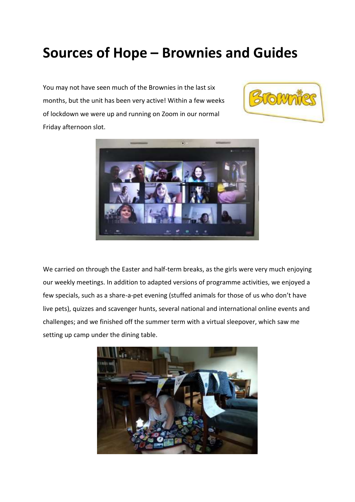## **Sources of Hope – Brownies and Guides**

You may not have seen much of the Brownies in the last six months, but the unit has been very active! Within a few weeks of lockdown we were up and running on Zoom in our normal Friday afternoon slot.





We carried on through the Easter and half-term breaks, as the girls were very much enjoying our weekly meetings. In addition to adapted versions of programme activities, we enjoyed a few specials, such as a share-a-pet evening (stuffed animals for those of us who don't have live pets), quizzes and scavenger hunts, several national and international online events and challenges; and we finished off the summer term with a virtual sleepover, which saw me setting up camp under the dining table.

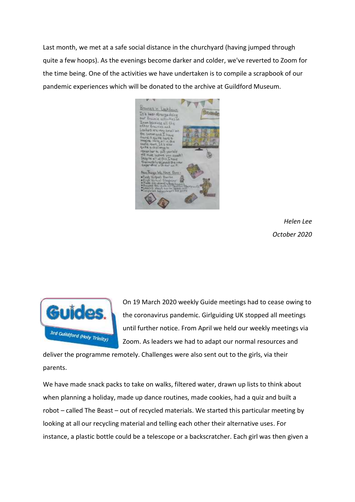Last month, we met at a safe social distance in the churchyard (having jumped through quite a few hoops). As the evenings become darker and colder, we've reverted to Zoom for the time being. One of the activities we have undertaken is to compile a scrapbook of our pandemic experiences which will be donated to the archive at Guildford Museum.



*Helen Lee October 2020*



On 19 March 2020 weekly Guide meetings had to cease owing to the coronavirus pandemic. Girlguiding UK stopped all meetings until further notice. From April we held our weekly meetings via Zoom. As leaders we had to adapt our normal resources and

deliver the programme remotely. Challenges were also sent out to the girls, via their parents.

We have made snack packs to take on walks, filtered water, drawn up lists to think about when planning a holiday, made up dance routines, made cookies, had a quiz and built a robot – called The Beast – out of recycled materials. We started this particular meeting by looking at all our recycling material and telling each other their alternative uses. For instance, a plastic bottle could be a telescope or a backscratcher. Each girl was then given a